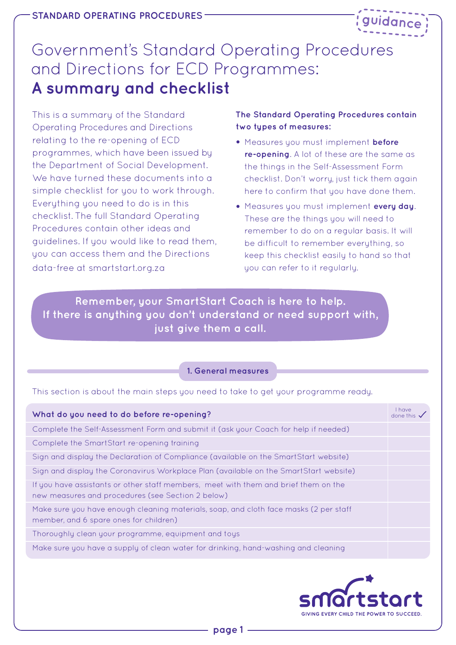

# Government's Standard Operating Procedures and Directions for ECD Programmes: **A summary and checklist**

This is a summary of the Standard Operating Procedures and Directions relating to the re-opening of ECD programmes, which have been issued by the Department of Social Development. We have turned these documents into a simple checklist for you to work through. Everything you need to do is in this checklist. The full Standard Operating Procedures contain other ideas and guidelines. If you would like to read them, you can access them and the Directions data-free at smartstart.org.za

# **The Standard Operating Procedures contain two types of measures:**

- Measures you must implement **before re-opening**. A lot of these are the same as the things in the Self-Assessment Form checklist. Don't worry, just tick them again here to confirm that you have done them.
- Measures you must implement **every day**. These are the things you will need to remember to do on a regular basis. It will be difficult to remember everything, so keep this checklist easily to hand so that you can refer to it regularly.

**Remember, your SmartStart Coach is here to help. If there is anything you don't understand or need support with, just give them a call.**

#### **1. General measures**

This section is about the main steps you need to take to get your programme ready.

| What do you need to do before re-opening?                                                                                                | I have<br>done this |
|------------------------------------------------------------------------------------------------------------------------------------------|---------------------|
| Complete the Self-Assessment Form and submit it (ask your Coach for help if needed)                                                      |                     |
| Complete the SmartStart re-opening training                                                                                              |                     |
| Sign and display the Declaration of Compliance (available on the SmartStart website)                                                     |                     |
| Sign and display the Coronavirus Workplace Plan (available on the SmartStart website)                                                    |                     |
| If you have assistants or other staff members, meet with them and brief them on the<br>new measures and procedures (see Section 2 below) |                     |
| Make sure you have enough cleaning materials, soap, and cloth face masks (2 per staff<br>member, and 6 spare ones for children)          |                     |
| Thoroughly clean your programme, equipment and toys                                                                                      |                     |
| Make sure you have a supply of clean water for drinking, hand-washing and cleaning                                                       |                     |

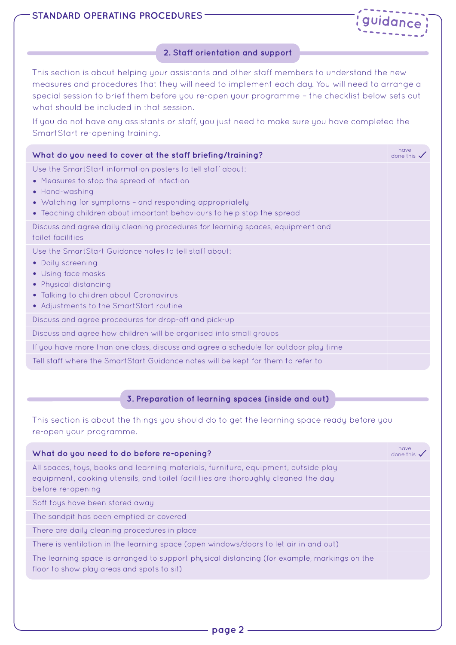

## **2. Staff orientation and support**

This section is about helping your assistants and other staff members to understand the new measures and procedures that they will need to implement each day. You will need to arrange a special session to brief them before you re-open your programme – the checklist below sets out what should be included in that session.

If you do not have any assistants or staff, you just need to make sure you have completed the SmartStart re-opening training.

| What do you need to cover at the staff briefing/training?                                                                                                                                                                                                       | <b>I</b> have<br>done this $\checkmark$ |
|-----------------------------------------------------------------------------------------------------------------------------------------------------------------------------------------------------------------------------------------------------------------|-----------------------------------------|
| Use the SmartStart information posters to tell staff about:<br>• Measures to stop the spread of infection<br>• Hand-washing<br>• Watching for symptoms - and responding appropriately<br>• Teaching children about important behaviours to help stop the spread |                                         |
| Discuss and agree daily cleaning procedures for learning spaces, equipment and<br>toilet facilities                                                                                                                                                             |                                         |
| Use the SmartStart Guidance notes to tell staff about:<br>• Daily screening<br>• Using face masks<br>• Physical distancing<br>• Talking to children about Coronavirus<br>• Adjustments to the SmartStart routine                                                |                                         |
| Discuss and agree procedures for drop-off and pick-up                                                                                                                                                                                                           |                                         |
| Discuss and agree how children will be organised into small groups                                                                                                                                                                                              |                                         |
| If you have more than one class, discuss and agree a schedule for outdoor play time                                                                                                                                                                             |                                         |
| Tell staff where the SmartStart Guidance notes will be kept for them to refer to                                                                                                                                                                                |                                         |

# **3. Preparation of learning spaces (inside and out)**

This section is about the things you should do to get the learning space ready before you re-open your programme.

| What do you need to do before re-opening?                                                                                                                                                    | <i>I</i> have<br>done this |
|----------------------------------------------------------------------------------------------------------------------------------------------------------------------------------------------|----------------------------|
| All spaces, toys, books and learning materials, furniture, equipment, outside play<br>equipment, cooking utensils, and toilet facilities are thoroughly cleaned the day<br>before re-opening |                            |
| Soft toys have been stored away                                                                                                                                                              |                            |
| The sandpit has been emptied or covered                                                                                                                                                      |                            |
| There are daily cleaning procedures in place                                                                                                                                                 |                            |
| There is ventilation in the learning space (open windows/doors to let air in and out)                                                                                                        |                            |
| The learning space is arranged to support physical distancing (for example, markings on the<br>floor to show play areas and spots to sit)                                                    |                            |
|                                                                                                                                                                                              |                            |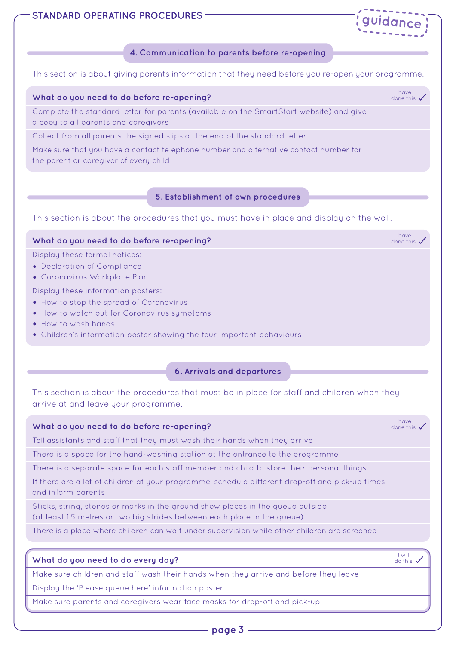



#### **4. Communication to parents before re-opening**

This section is about giving parents information that they need before you re-open your programme.

| What do you need to do before re-opening?                                                                                       | <b>I</b> have<br>done this v |
|---------------------------------------------------------------------------------------------------------------------------------|------------------------------|
| Complete the standard letter for parents (available on the SmartStart website) and give<br>a copy to all parents and caregivers |                              |
| Collect from all parents the signed slips at the end of the standard letter                                                     |                              |
| Make sure that you have a contact telephone number and alternative contact number for<br>the parent or caregiver of every child |                              |

## **5. Establishment of own procedures**

This section is about the procedures that you must have in place and display on the wall.

| What do you need to do before re-opening?                                                                                                                                                                                    | I have<br>done this $\checkmark$ |
|------------------------------------------------------------------------------------------------------------------------------------------------------------------------------------------------------------------------------|----------------------------------|
| Display these formal notices:<br>• Declaration of Compliance<br>• Coronavirus Workplace Plan                                                                                                                                 |                                  |
| Display these information posters:<br>• How to stop the spread of Coronavirus<br>. How to watch out for Coronavirus symptoms<br>• How to wash hands<br>• Children's information poster showing the four important behaviours |                                  |

#### **6. Arrivals and departures**

This section is about the procedures that must be in place for staff and children when they arrive at and leave your programme.

| What do you need to do before re-opening?                                                                                                                                                                                     | $1$ have<br>done this $\checkmark$ |
|-------------------------------------------------------------------------------------------------------------------------------------------------------------------------------------------------------------------------------|------------------------------------|
| Tell assistants and staff that they must wash their hands when they arrive                                                                                                                                                    |                                    |
| There is a space for the hand-washing station at the entrance to the programme                                                                                                                                                |                                    |
| There is a separate space for each staff member and child to store their personal things                                                                                                                                      |                                    |
| If there are a lot of children at your programme, schedule different drop-off and pick-up times<br>and inform parents                                                                                                         |                                    |
| Sticks, string, stones or marks in the ground show places in the queue outside<br>(at least 1.5 metres or two big strides between each place in the queue)                                                                    |                                    |
| There is a place where children can wait under supervision while other children are screened                                                                                                                                  |                                    |
|                                                                                                                                                                                                                               | l will                             |
| What do you need to do every day?                                                                                                                                                                                             | do this                            |
| . The contract of the contract of the contract of the contract of the contract of the contract of the contract of the contract of the contract of the contract of the contract of the contract of the contract of the contrac |                                    |

Make sure children and staff wash their hands when they arrive and before they leave

Display the 'Please queue here' information poster

Make sure parents and caregivers wear face masks for drop-off and pick-up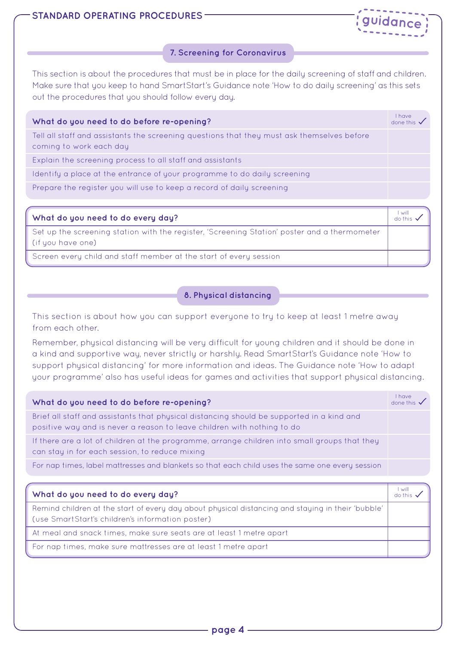



#### **7. Screening for Coronavirus**

This section is about the procedures that must be in place for the daily screening of staff and children. Make sure that you keep to hand SmartStart's Guidance note 'How to do daily screening' as this sets out the procedures that you should follow every day.

| What do you need to do before re-opening?                                                                             | I have<br>done this $\checkmark$ |
|-----------------------------------------------------------------------------------------------------------------------|----------------------------------|
| Tell all staff and assistants the screening questions that they must ask themselves before<br>coming to work each day |                                  |
| Explain the screening process to all staff and assistants                                                             |                                  |
| Identify a place at the entrance of your programme to do daily screening                                              |                                  |
| Prepare the register you will use to keep a record of daily screening                                                 |                                  |

| What do you need to do every day?                                                                                   | l will<br>do this . |
|---------------------------------------------------------------------------------------------------------------------|---------------------|
| Set up the screening station with the register, 'Screening Station' poster and a thermometer<br>l (if you have one) |                     |
| Screen every child and staff member at the start of every session                                                   |                     |

## **8. Physical distancing**

This section is about how you can support everyone to try to keep at least 1 metre away from each other.

Remember, physical distancing will be very difficult for young children and it should be done in a kind and supportive way, never strictly or harshly. Read SmartStart's Guidance note 'How to support physical distancing' for more information and ideas. The Guidance note 'How to adapt your programme' also has useful ideas for games and activities that support physical distancing.

| What do you need to do before re-opening?                                                                                                                            | $1$ have<br>done this $\checkmark$ |
|----------------------------------------------------------------------------------------------------------------------------------------------------------------------|------------------------------------|
| Brief all staff and assistants that physical distancing should be supported in a kind and<br>positive way and is never a reason to leave children with nothing to do |                                    |
| If there are a lot of children at the programme, arrange children into small groups that they<br>can stay in for each session, to reduce mixing                      |                                    |
| For nap times, label mattresses and blankets so that each child uses the same one every session                                                                      |                                    |

| What do you need to do every day?                                                                                                                     | l will |
|-------------------------------------------------------------------------------------------------------------------------------------------------------|--------|
| Remind children at the start of every day about physical distancing and staying in their 'bubble'<br>(use SmartStart's children's information poster) |        |
| At meal and snack times, make sure seats are at least 1 metre apart                                                                                   |        |
| For nap times, make sure mattresses are at least 1 metre apart                                                                                        |        |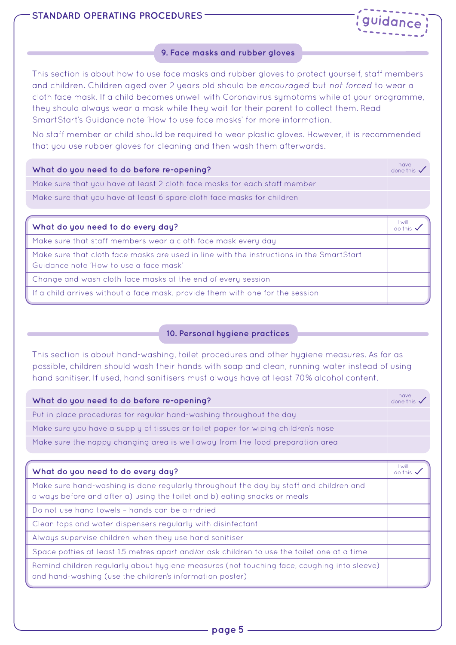

#### **9. Face masks and rubber gloves**

This section is about how to use face masks and rubber gloves to protect yourself, staff members and children. Children aged over 2 years old should be *encouraged* but *not forced* to wear a cloth face mask. If a child becomes unwell with Coronavirus symptoms while at your programme, they should always wear a mask while they wait for their parent to collect them. Read SmartStart's Guidance note 'How to use face masks' for more information.

No staff member or child should be required to wear plastic gloves. However, it is recommended that you use rubber gloves for cleaning and then wash them afterwards.

| What do you need to do before re-opening?                                 | $1$ have<br>done this $\checkmark$ |
|---------------------------------------------------------------------------|------------------------------------|
| Make sure that you have at least 2 cloth face masks for each staff member |                                    |
| Make sure that you have at least 6 spare cloth face masks for children    |                                    |
|                                                                           |                                    |

| What do you need to do every day?                                                                                                  | $\sim$<br>do this |
|------------------------------------------------------------------------------------------------------------------------------------|-------------------|
| Make sure that staff members wear a cloth face mask every day                                                                      |                   |
| Make sure that cloth face masks are used in line with the instructions in the SmartStart<br>Guidance note 'How to use a face mask' |                   |
| Change and wash cloth face masks at the end of every session                                                                       |                   |
| If a child arrives without a face mask, provide them with one for the session                                                      |                   |

# **10. Personal hygiene practices**

This section is about hand-washing, toilet procedures and other hygiene measures. As far as possible, children should wash their hands with soap and clean, running water instead of using hand sanitiser. If used, hand sanitisers must always have at least 70% alcohol content.

| What do you need to do before re-opening?                                         | I have<br>done this $\checkmark$ |
|-----------------------------------------------------------------------------------|----------------------------------|
| Put in place procedures for regular hand-washing throughout the day               |                                  |
| Make sure you have a supply of tissues or toilet paper for wiping children's nose |                                  |
| Make sure the nappy changing area is well away from the food preparation area     |                                  |

| What do you need to do every day?                                                                                                                                  | l will |
|--------------------------------------------------------------------------------------------------------------------------------------------------------------------|--------|
| Make sure hand-washing is done regularly throughout the day by staff and children and<br>always before and after a) using the toilet and b) eating snacks or meals |        |
| Do not use hand towels - hands can be air-dried                                                                                                                    |        |
| Clean taps and water dispensers regularly with disinfectant                                                                                                        |        |
| Always supervise children when they use hand sanitiser                                                                                                             |        |
| Space potties at least 1.5 metres apart and/or ask children to use the toilet one at a time                                                                        |        |
| Remind children regularly about hygiene measures (not touching face, coughing into sleeve)<br>and hand-washing (use the children's information poster)             |        |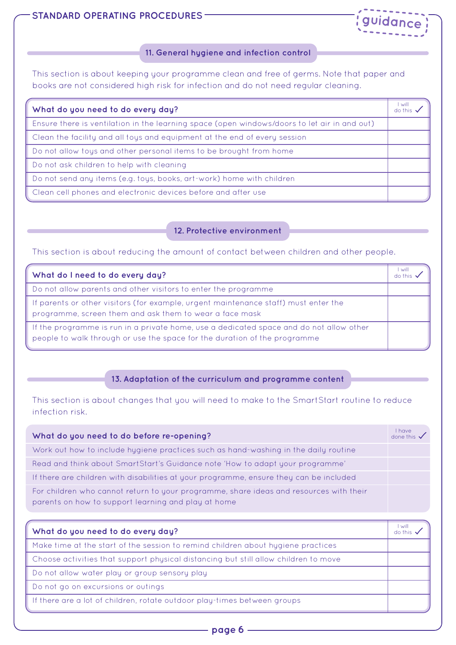# **STANDARD OPERATING PROCEDURES -**



#### **11. General hygiene and infection control**

This section is about keeping your programme clean and free of germs. Note that paper and books are not considered high risk for infection and do not need regular cleaning.

| What do you need to do every day?                                                            | will |
|----------------------------------------------------------------------------------------------|------|
| Ensure there is ventilation in the learning space (open windows/doors to let air in and out) |      |
| Clean the facility and all toys and equipment at the end of every session                    |      |
| Do not allow toys and other personal items to be brought from home                           |      |
| Do not ask children to help with cleaning                                                    |      |
| Do not send any items (e.g. toys, books, art-work) home with children                        |      |
| Clean cell phones and electronic devices before and after use                                |      |

# **12. Protective environment**

This section is about reducing the amount of contact between children and other people.

| What do I need to do every day?                                                                                                                                      | will |
|----------------------------------------------------------------------------------------------------------------------------------------------------------------------|------|
| Do not allow parents and other visitors to enter the programme                                                                                                       |      |
| If parents or other visitors (for example, urgent maintenance staff) must enter the<br>programme, screen them and ask them to wear a face mask                       |      |
| If the programme is run in a private home, use a dedicated space and do not allow other<br>people to walk through or use the space for the duration of the programme |      |

#### **13. Adaptation of the curriculum and programme content**

This section is about changes that you will need to make to the SmartStart routine to reduce infection risk.

| What do you need to do before re-opening?                                                                                                     | $1$ have<br>done this $\checkmark$ |
|-----------------------------------------------------------------------------------------------------------------------------------------------|------------------------------------|
| Work out how to include hygiene practices such as hand-washing in the daily routine                                                           |                                    |
| Read and think about SmartStart's Guidance note 'How to adapt your programme'                                                                 |                                    |
| If there are children with disabilities at your programme, ensure they can be included                                                        |                                    |
| For children who cannot return to your programme, share ideas and resources with their<br>parents on how to support learning and play at home |                                    |

| What do you need to do every day?                                                   | - will |
|-------------------------------------------------------------------------------------|--------|
| Make time at the start of the session to remind children about hygiene practices    |        |
| Choose activities that support physical distancing but still allow children to move |        |
| Do not allow water play or group sensory play                                       |        |
| Do not go on excursions or outings                                                  |        |
| If there are a lot of children, rotate outdoor play-times between groups            |        |